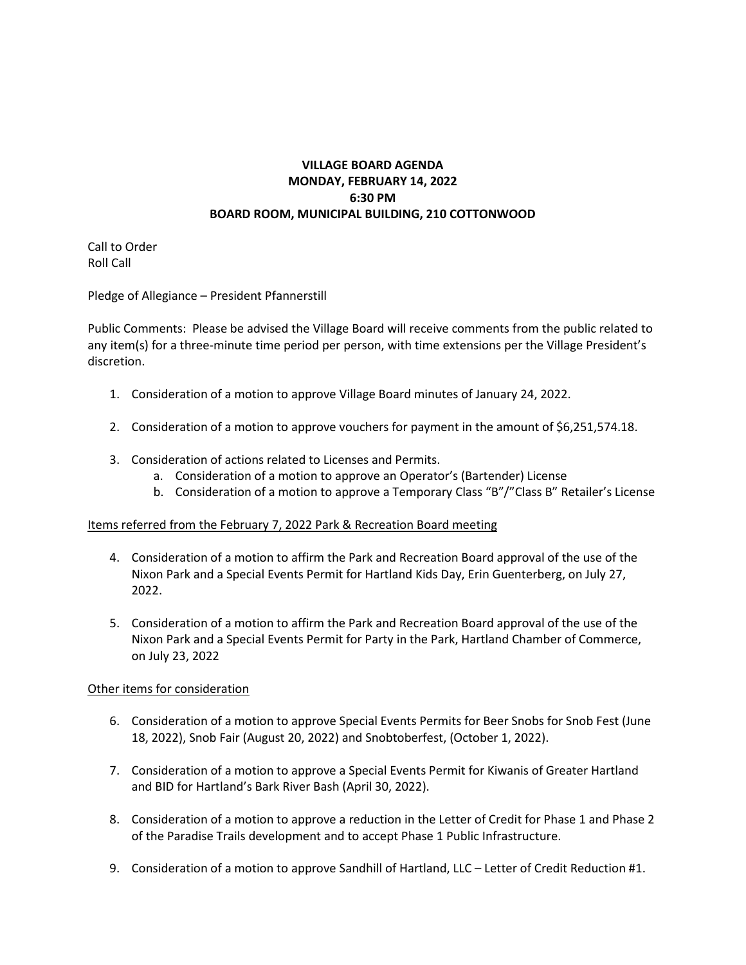## **VILLAGE BOARD AGENDA MONDAY, FEBRUARY 14, 2022 6:30 PM BOARD ROOM, MUNICIPAL BUILDING, 210 COTTONWOOD**

Call to Order Roll Call

Pledge of Allegiance – President Pfannerstill

Public Comments: Please be advised the Village Board will receive comments from the public related to any item(s) for a three-minute time period per person, with time extensions per the Village President's discretion.

- 1. Consideration of a motion to approve Village Board minutes of January 24, 2022.
- 2. Consideration of a motion to approve vouchers for payment in the amount of \$6,251,574.18.
- 3. Consideration of actions related to Licenses and Permits.
	- a. Consideration of a motion to approve an Operator's (Bartender) License
	- b. Consideration of a motion to approve a Temporary Class "B"/"Class B" Retailer's License

## Items referred from the February 7, 2022 Park & Recreation Board meeting

- 4. Consideration of a motion to affirm the Park and Recreation Board approval of the use of the Nixon Park and a Special Events Permit for Hartland Kids Day, Erin Guenterberg, on July 27, 2022.
- 5. Consideration of a motion to affirm the Park and Recreation Board approval of the use of the Nixon Park and a Special Events Permit for Party in the Park, Hartland Chamber of Commerce, on July 23, 2022

## Other items for consideration

- 6. Consideration of a motion to approve Special Events Permits for Beer Snobs for Snob Fest (June 18, 2022), Snob Fair (August 20, 2022) and Snobtoberfest, (October 1, 2022).
- 7. Consideration of a motion to approve a Special Events Permit for Kiwanis of Greater Hartland and BID for Hartland's Bark River Bash (April 30, 2022).
- 8. Consideration of a motion to approve a reduction in the Letter of Credit for Phase 1 and Phase 2 of the Paradise Trails development and to accept Phase 1 Public Infrastructure.
- 9. Consideration of a motion to approve Sandhill of Hartland, LLC Letter of Credit Reduction #1.